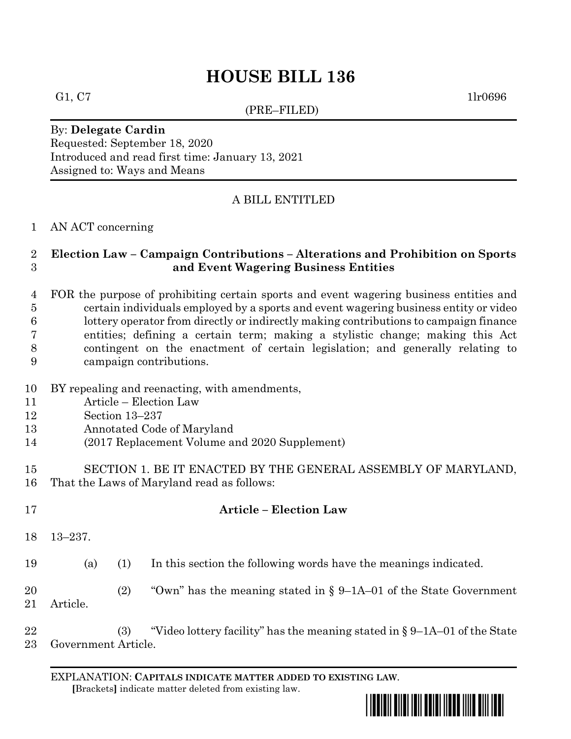# **HOUSE BILL 136**

(PRE–FILED)

G1, C7 1lr0696

#### By: **Delegate Cardin** Requested: September 18, 2020 Introduced and read first time: January 13, 2021 Assigned to: Ways and Means

## A BILL ENTITLED

#### AN ACT concerning

#### **Election Law – Campaign Contributions – Alterations and Prohibition on Sports and Event Wagering Business Entities**

#### FOR the purpose of prohibiting certain sports and event wagering business entities and certain individuals employed by a sports and event wagering business entity or video lottery operator from directly or indirectly making contributions to campaign finance entities; defining a certain term; making a stylistic change; making this Act contingent on the enactment of certain legislation; and generally relating to campaign contributions.

- BY repealing and reenacting, with amendments,
- Article Election Law
- Section 13–237
- Annotated Code of Maryland
- (2017 Replacement Volume and 2020 Supplement)

#### SECTION 1. BE IT ENACTED BY THE GENERAL ASSEMBLY OF MARYLAND, That the Laws of Maryland read as follows:

- **Article – Election Law** 13–237. (a) (1) In this section the following words have the meanings indicated. (2) "Own" has the meaning stated in § 9–1A–01 of the State Government
- Article.
- (3) "Video lottery facility" has the meaning stated in § 9–1A–01 of the State Government Article.

EXPLANATION: **CAPITALS INDICATE MATTER ADDED TO EXISTING LAW**.  **[**Brackets**]** indicate matter deleted from existing law.